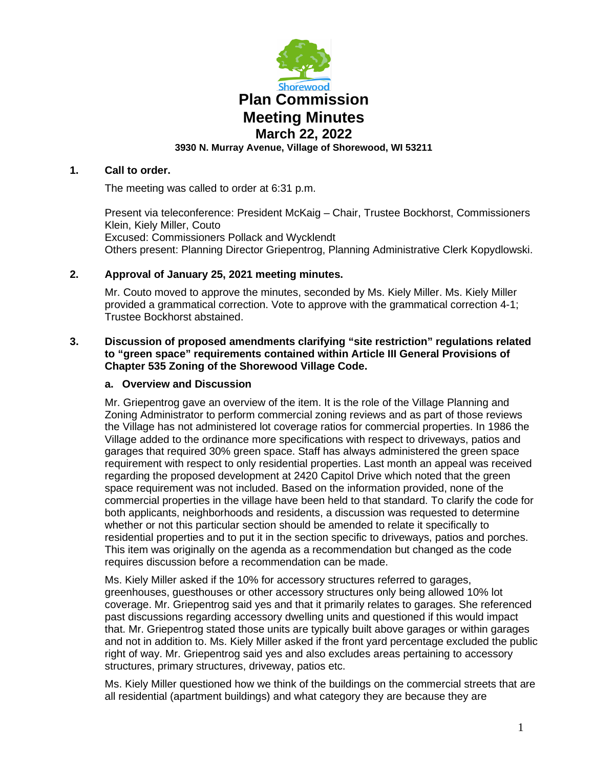

## **1. Call to order.**

The meeting was called to order at 6:31 p.m.

Present via teleconference: President McKaig – Chair, Trustee Bockhorst, Commissioners Klein, Kiely Miller, Couto Excused: Commissioners Pollack and Wycklendt Others present: Planning Director Griepentrog, Planning Administrative Clerk Kopydlowski.

# **2. Approval of January 25, 2021 meeting minutes.**

Mr. Couto moved to approve the minutes, seconded by Ms. Kiely Miller. Ms. Kiely Miller provided a grammatical correction. Vote to approve with the grammatical correction 4-1; Trustee Bockhorst abstained.

## **3. Discussion of proposed amendments clarifying "site restriction" regulations related to "green space" requirements contained within Article III General Provisions of Chapter 535 Zoning of the Shorewood Village Code.**

## **a. Overview and Discussion**

Mr. Griepentrog gave an overview of the item. It is the role of the Village Planning and Zoning Administrator to perform commercial zoning reviews and as part of those reviews the Village has not administered lot coverage ratios for commercial properties. In 1986 the Village added to the ordinance more specifications with respect to driveways, patios and garages that required 30% green space. Staff has always administered the green space requirement with respect to only residential properties. Last month an appeal was received regarding the proposed development at 2420 Capitol Drive which noted that the green space requirement was not included. Based on the information provided, none of the commercial properties in the village have been held to that standard. To clarify the code for both applicants, neighborhoods and residents, a discussion was requested to determine whether or not this particular section should be amended to relate it specifically to residential properties and to put it in the section specific to driveways, patios and porches. This item was originally on the agenda as a recommendation but changed as the code requires discussion before a recommendation can be made.

Ms. Kiely Miller asked if the 10% for accessory structures referred to garages, greenhouses, guesthouses or other accessory structures only being allowed 10% lot coverage. Mr. Griepentrog said yes and that it primarily relates to garages. She referenced past discussions regarding accessory dwelling units and questioned if this would impact that. Mr. Griepentrog stated those units are typically built above garages or within garages and not in addition to. Ms. Kiely Miller asked if the front yard percentage excluded the public right of way. Mr. Griepentrog said yes and also excludes areas pertaining to accessory structures, primary structures, driveway, patios etc.

Ms. Kiely Miller questioned how we think of the buildings on the commercial streets that are all residential (apartment buildings) and what category they are because they are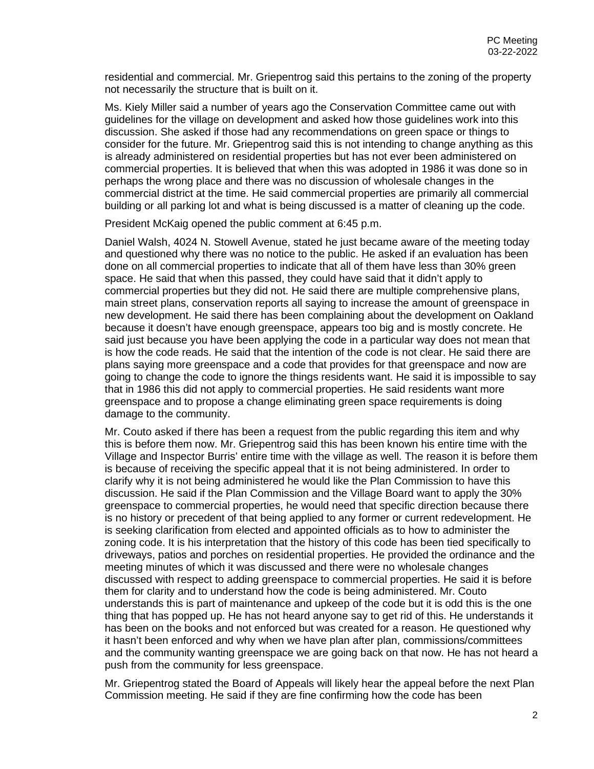residential and commercial. Mr. Griepentrog said this pertains to the zoning of the property not necessarily the structure that is built on it.

Ms. Kiely Miller said a number of years ago the Conservation Committee came out with guidelines for the village on development and asked how those guidelines work into this discussion. She asked if those had any recommendations on green space or things to consider for the future. Mr. Griepentrog said this is not intending to change anything as this is already administered on residential properties but has not ever been administered on commercial properties. It is believed that when this was adopted in 1986 it was done so in perhaps the wrong place and there was no discussion of wholesale changes in the commercial district at the time. He said commercial properties are primarily all commercial building or all parking lot and what is being discussed is a matter of cleaning up the code.

President McKaig opened the public comment at 6:45 p.m.

Daniel Walsh, 4024 N. Stowell Avenue, stated he just became aware of the meeting today and questioned why there was no notice to the public. He asked if an evaluation has been done on all commercial properties to indicate that all of them have less than 30% green space. He said that when this passed, they could have said that it didn't apply to commercial properties but they did not. He said there are multiple comprehensive plans, main street plans, conservation reports all saying to increase the amount of greenspace in new development. He said there has been complaining about the development on Oakland because it doesn't have enough greenspace, appears too big and is mostly concrete. He said just because you have been applying the code in a particular way does not mean that is how the code reads. He said that the intention of the code is not clear. He said there are plans saying more greenspace and a code that provides for that greenspace and now are going to change the code to ignore the things residents want. He said it is impossible to say that in 1986 this did not apply to commercial properties. He said residents want more greenspace and to propose a change eliminating green space requirements is doing damage to the community.

Mr. Couto asked if there has been a request from the public regarding this item and why this is before them now. Mr. Griepentrog said this has been known his entire time with the Village and Inspector Burris' entire time with the village as well. The reason it is before them is because of receiving the specific appeal that it is not being administered. In order to clarify why it is not being administered he would like the Plan Commission to have this discussion. He said if the Plan Commission and the Village Board want to apply the 30% greenspace to commercial properties, he would need that specific direction because there is no history or precedent of that being applied to any former or current redevelopment. He is seeking clarification from elected and appointed officials as to how to administer the zoning code. It is his interpretation that the history of this code has been tied specifically to driveways, patios and porches on residential properties. He provided the ordinance and the meeting minutes of which it was discussed and there were no wholesale changes discussed with respect to adding greenspace to commercial properties. He said it is before them for clarity and to understand how the code is being administered. Mr. Couto understands this is part of maintenance and upkeep of the code but it is odd this is the one thing that has popped up. He has not heard anyone say to get rid of this. He understands it has been on the books and not enforced but was created for a reason. He questioned why it hasn't been enforced and why when we have plan after plan, commissions/committees and the community wanting greenspace we are going back on that now. He has not heard a push from the community for less greenspace.

Mr. Griepentrog stated the Board of Appeals will likely hear the appeal before the next Plan Commission meeting. He said if they are fine confirming how the code has been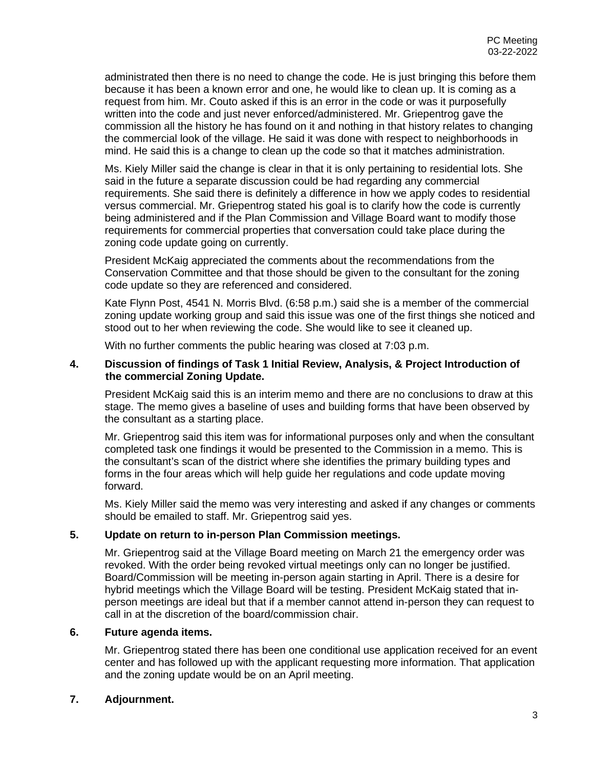administrated then there is no need to change the code. He is just bringing this before them because it has been a known error and one, he would like to clean up. It is coming as a request from him. Mr. Couto asked if this is an error in the code or was it purposefully written into the code and just never enforced/administered. Mr. Griepentrog gave the commission all the history he has found on it and nothing in that history relates to changing the commercial look of the village. He said it was done with respect to neighborhoods in mind. He said this is a change to clean up the code so that it matches administration.

Ms. Kiely Miller said the change is clear in that it is only pertaining to residential lots. She said in the future a separate discussion could be had regarding any commercial requirements. She said there is definitely a difference in how we apply codes to residential versus commercial. Mr. Griepentrog stated his goal is to clarify how the code is currently being administered and if the Plan Commission and Village Board want to modify those requirements for commercial properties that conversation could take place during the zoning code update going on currently.

President McKaig appreciated the comments about the recommendations from the Conservation Committee and that those should be given to the consultant for the zoning code update so they are referenced and considered.

Kate Flynn Post, 4541 N. Morris Blvd. (6:58 p.m.) said she is a member of the commercial zoning update working group and said this issue was one of the first things she noticed and stood out to her when reviewing the code. She would like to see it cleaned up.

With no further comments the public hearing was closed at 7:03 p.m.

#### **4. Discussion of findings of Task 1 Initial Review, Analysis, & Project Introduction of the commercial Zoning Update.**

President McKaig said this is an interim memo and there are no conclusions to draw at this stage. The memo gives a baseline of uses and building forms that have been observed by the consultant as a starting place.

Mr. Griepentrog said this item was for informational purposes only and when the consultant completed task one findings it would be presented to the Commission in a memo. This is the consultant's scan of the district where she identifies the primary building types and forms in the four areas which will help guide her regulations and code update moving forward.

Ms. Kiely Miller said the memo was very interesting and asked if any changes or comments should be emailed to staff. Mr. Griepentrog said yes.

# **5. Update on return to in-person Plan Commission meetings.**

Mr. Griepentrog said at the Village Board meeting on March 21 the emergency order was revoked. With the order being revoked virtual meetings only can no longer be justified. Board/Commission will be meeting in-person again starting in April. There is a desire for hybrid meetings which the Village Board will be testing. President McKaig stated that inperson meetings are ideal but that if a member cannot attend in-person they can request to call in at the discretion of the board/commission chair.

#### **6. Future agenda items.**

Mr. Griepentrog stated there has been one conditional use application received for an event center and has followed up with the applicant requesting more information. That application and the zoning update would be on an April meeting.

## **7. Adjournment.**